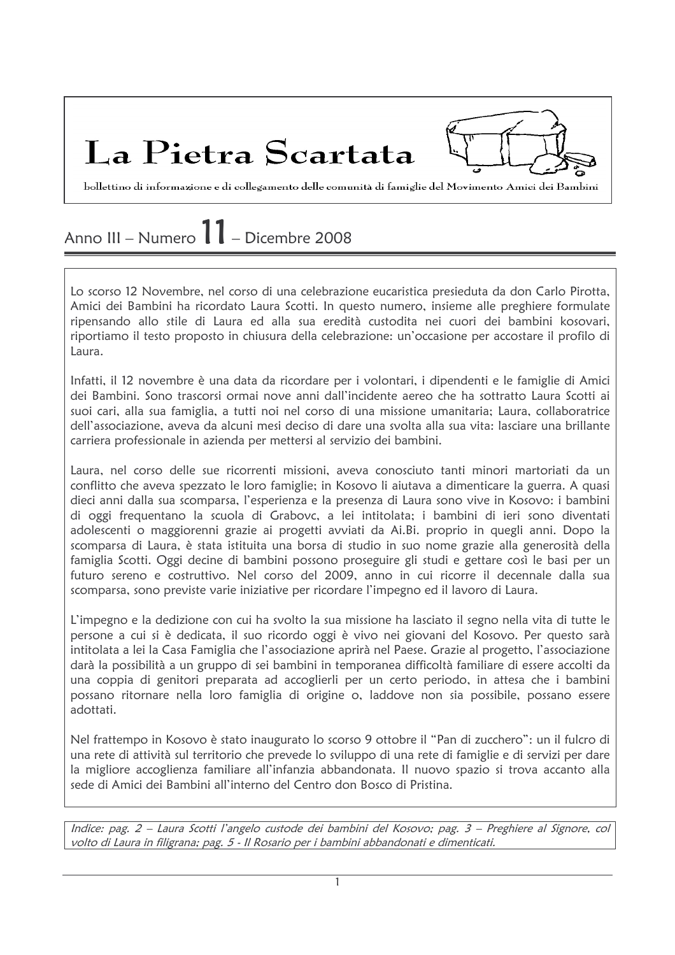La Pietra Scartata

bollettino di informazione e di collegamento delle comunità di famiglie del Movimento Amici dei Bambini

## Anno III – Numero  $11$  – Dicembre 2008

Lo scorso 12 Novembre, nel corso di una celebrazione eucaristica presieduta da don Carlo Pirotta, Amici dei Bambini ha ricordato Laura Scotti. In questo numero, insieme alle preghiere formulate ripensando allo stile di Laura ed alla sua eredità custodita nei cuori dei bambini kosovari, riportiamo il testo proposto in chiusura della celebrazione: un'occasione per accostare il profilo di Laura.

Infatti, il 12 novembre è una data da ricordare per i volontari, i dipendenti e le famiglie di Amici dei Bambini. Sono trascorsi ormai nove anni dall'incidente aereo che ha sottratto Laura Scotti ai suoi cari, alla sua famiglia, a tutti noi nel corso di una missione umanitaria; Laura, collaboratrice dell'associazione, aveva da alcuni mesi deciso di dare una svolta alla sua vita: lasciare una brillante carriera professionale in azienda per mettersi al servizio dei bambini.

Laura, nel corso delle sue ricorrenti missioni, aveva conosciuto tanti minori martoriati da un conflitto che aveva spezzato le loro famiglie; in Kosovo li aiutava a dimenticare la guerra. A quasi dieci anni dalla sua scomparsa, l'esperienza e la presenza di Laura sono vive in Kosovo: i bambini di oggi frequentano la scuola di Grabovc, a lei intitolata; i bambini di ieri sono diventati adolescenti o maggiorenni grazie ai progetti avviati da Ai.Bi. proprio in quegli anni. Dopo la scomparsa di Laura, è stata istituita una borsa di studio in suo nome grazie alla generosità della famiglia Scotti. Oggi decine di bambini possono proseguire gli studi e gettare così le basi per un futuro sereno e costruttivo. Nel corso del 2009, anno in cui ricorre il decennale dalla sua scomparsa, sono previste varie iniziative per ricordare l'impegno ed il lavoro di Laura.

L'impegno e la dedizione con cui ha svolto la sua missione ha lasciato il segno nella vita di tutte le persone a cui si è dedicata, il suo ricordo oggi è vivo nei giovani del Kosovo. Per questo sarà intitolata a lei la Casa Famiglia che l'associazione aprirà nel Paese. Grazie al progetto, l'associazione darà la possibilità a un gruppo di sei bambini in temporanea difficoltà familiare di essere accolti da una coppia di genitori preparata ad accoglierli per un certo periodo, in attesa che i bambini possano ritornare nella loro famiglia di origine o, laddove non sia possibile, possano essere adottati.

Nel frattempo in Kosovo è stato inaugurato lo scorso 9 ottobre il "Pan di zucchero": un il fulcro di una rete di attività sul territorio che prevede lo sviluppo di una rete di famiglie e di servizi per dare la migliore accoglienza familiare all'infanzia abbandonata. Il nuovo spazio si trova accanto alla sede di Amici dei Bambini all'interno del Centro don Bosco di Pristina.

Indice: pag. 2 – Laura Scotti l'angelo custode dei bambini del Kosovo; pag. 3 – Preghiere al Signore, col volto di Laura in filigrana; pag. 5 - Il Rosario per i bambini abbandonati e dimenticati.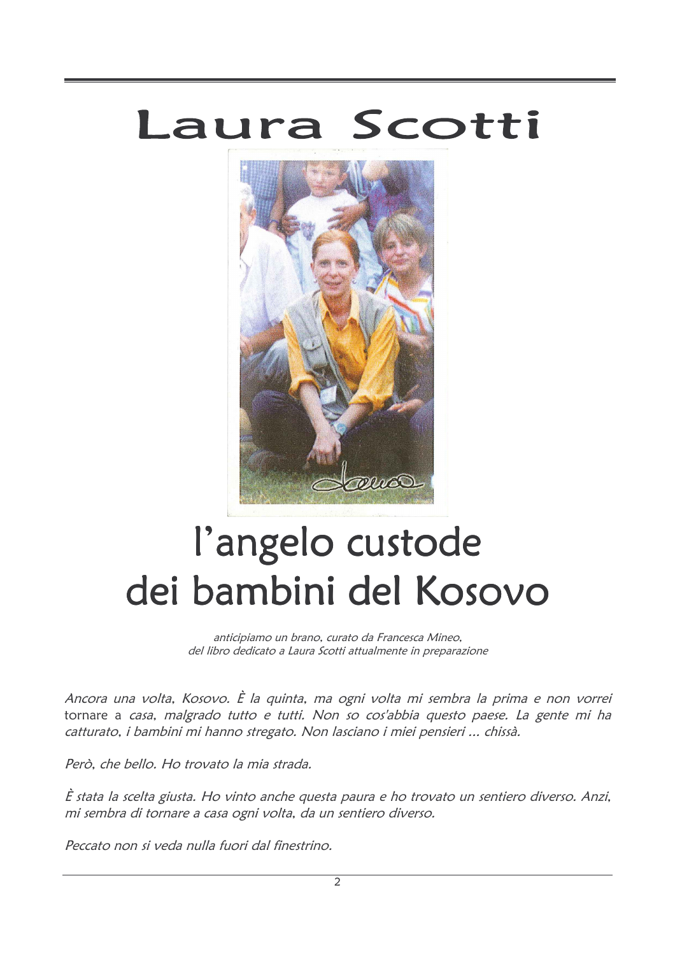# Laura Scotti



# l'angelo custode dei bambini del Kosovo

anticipiamo un brano, curato da Francesca Mineo, del libro dedicato a Laura Scotti attualmente in preparazione

Ancora una volta, Kosovo. È la quinta, ma ogni volta mi sembra la prima e non vorrei tornare a casa, malgrado tutto e tutti. Non so cos'abbia questo paese. La gente mi ha catturato, i bambini mi hanno stregato. Non lasciano i miei pensieri ... chissà.

Però, che bello. Ho trovato la mia strada.

È stata la scelta giusta. Ho vinto anche questa paura e ho trovato un sentiero diverso. Anzi, mi sembra di tornare a casa ogni volta, da un sentiero diverso.

Peccato non si veda nulla fuori dal finestrino.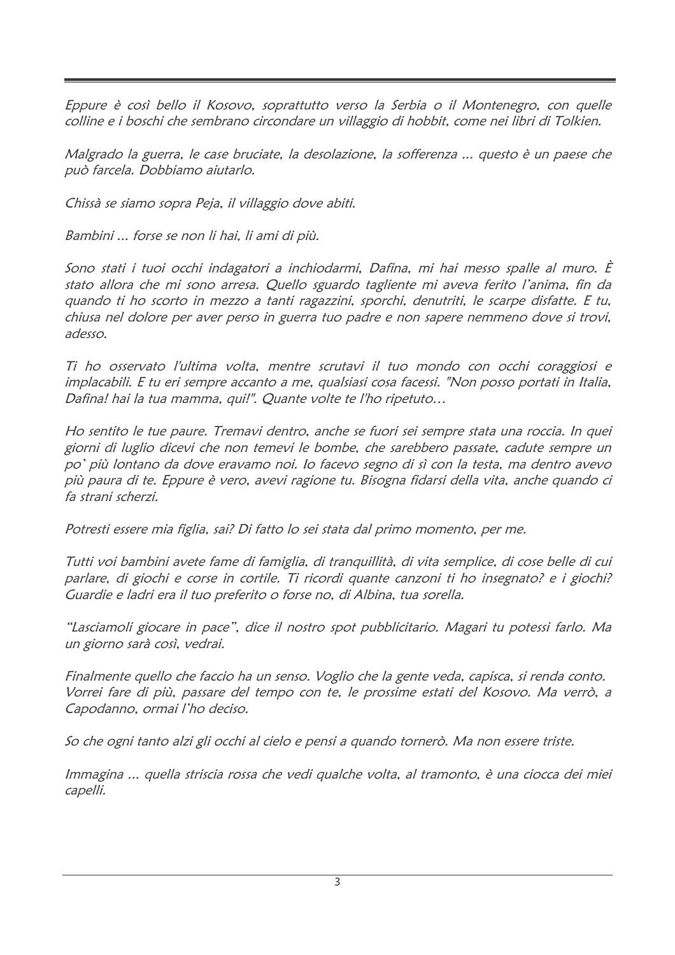Eppure è così bello il Kosovo, soprattutto verso la Serbia o il Montenegro, con quelle colline e i boschi che sembrano circondare un villaggio di hobbit, come nei libri di Tolkien.

Malgrado la guerra, le case bruciate, la desolazione, la sofferenza ... questo è un paese che può farcela. Dobbiamo aiutarlo.

Chissà se siamo sopra Peja, il villaggio dove abiti.

Bambini ... forse se non li hai, li ami di più.

Sono stati i tuoi occhi indagatori a inchiodarmi, Dafina, mi hai messo spalle al muro. È stato allora che mi sono arresa. Quello sguardo tagliente mi aveva ferito l'anima, fin da quando ti ho scorto in mezzo a tanti ragazzini, sporchi, denutriti, le scarpe disfatte. E tu, chiusa nel dolore per aver perso in guerra tuo padre e non sapere nemmeno dove si trovi, adesso.

Ti ho osservato l'ultima volta, mentre scrutavi il tuo mondo con occhi coraggiosi e implacabili. E tu eri sempre accanto a me, qualsiasi cosa facessi. "Non posso portati in Italia, Dafina! hai la tua mamma, qui!". Quante volte te l'ho ripetuto...

Ho sentito le tue paure. Tremavi dentro, anche se fuori sei sempre stata una roccia. In quei giorni di luglio dicevi che non temevi le bombe, che sarebbero passate, cadute sempre un po' più lontano da dove eravamo noi. Io facevo segno di sì con la testa, ma dentro avevo più paura di te. Eppure è vero, avevi ragione tu, Bisogna fidarsi della vita, anche quando ci fa strani scherzi.

Potresti essere mia figlia, sai? Di fatto lo sei stata dal primo momento, per me.

Tutti voi bambini avete fame di famiglia, di tranquillità, di vita semplice, di cose belle di cui parlare, di giochi e corse in cortile. Ti ricordi quante canzoni ti ho insegnato? e i giochi? Guardie e ladri era il tuo preferito o forse no, di Albina, tua sorella.

"Lasciamoli giocare in pace", dice il nostro spot pubblicitario. Magari tu potessi farlo. Ma un giorno sarà così, vedrai.

Finalmente quello che faccio ha un senso. Voglio che la gente veda, capisca, si renda conto. Vorrei fare di più, passare del tempo con te, le prossime estati del Kosovo. Ma verrò, a Capodanno, ormai l'ho deciso.

So che ogni tanto alzi gli occhi al cielo e pensi a quando tornerò. Ma non essere triste.

Immagina ... quella striscia rossa che vedi qualche volta, al tramonto, è una ciocca dei miei capelli.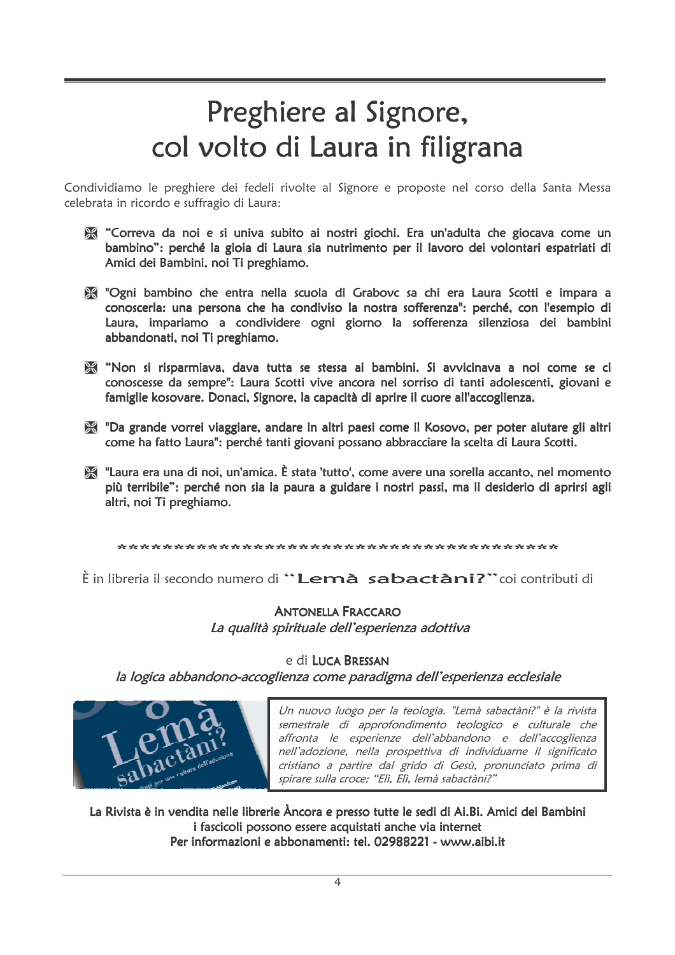# Preghiere al Signore, col volto di Laura in filigrana

Condividiamo le preghiere dei fedeli rivolte al Signore e proposte nel corso della Santa Messa celebrata in ricordo e suffragio di Laura:

- "Correva da noi e si univa subito ai nostri giochi. Era un'adulta che giocava come un bambino": perché la gioia di Laura sia nutrimento per il lavoro dei volontari espatriati di Amici dei Bambini, noi Ti preghiamo.
- "Ogni bambino che entra nella scuola di Grabovc sa chi era Laura Scotti e impara a conoscerla: una persona che ha condiviso la nostra sofferenza": perché, con l'esempio di Laura, impariamo a condividere ogni giorno la sofferenza silenziosa dei bambini abbandonati, noi Ti preghiamo.
- We "Non si risparmiava, dava tutta se stessa ai bambini. Si avvicinava a noi come se ci conoscesse da sempre": Laura Scotti vive ancora nel sorriso di tanti adolescenti, giovani e famiglie kosovare. Donaci, Signore, la capacità di aprire il cuore all'accoglienza.
- "Da grande vorrei viaggiare, andare in altri paesi come il Kosovo, per poter aiutare gli altri come ha fatto Laura": perché tanti giovani possano abbracciare la scelta di Laura Scotti.
- "Laura era una di noi, un'amica. È stata 'tutto', come avere una sorella accanto, nel momento più terribile": perché non sia la paura a guidare i nostri passi, ma il desiderio di aprirsi agli altri, noi Ti preghiamo.

È in libreria il secondo numero di "Lemà sabactàni?" coi contributi di

#### **ANTONELLA FRACCARO** La qualità spirituale dell'esperienza adottiva

#### e di LUCA BRESSAN

la logica abbandono-accoglienza come paradigma dell'esperienza ecclesiale

Un nuovo luogo per la teologia. "Lemà sabactàni?" è la rivista semestrale di approfondimento teologico e culturale che affronta le esperienze dell'abbandono e dell'accoglienza nell'adozione, nella prospettiva di individuarne il significato cristiano a partire dal grido di Gesù, pronunciato prima di spirare sulla croce: "Elì, Elì, lemà sabactàni?"

La Rivista è in vendita nelle librerie Àncora e presso tutte le sedi di Ai.Bi. Amici dei Bambini i fascicoli possono essere acquistati anche via internet Per informazioni e abbonamenti: tel. 02988221 - www.aibi.it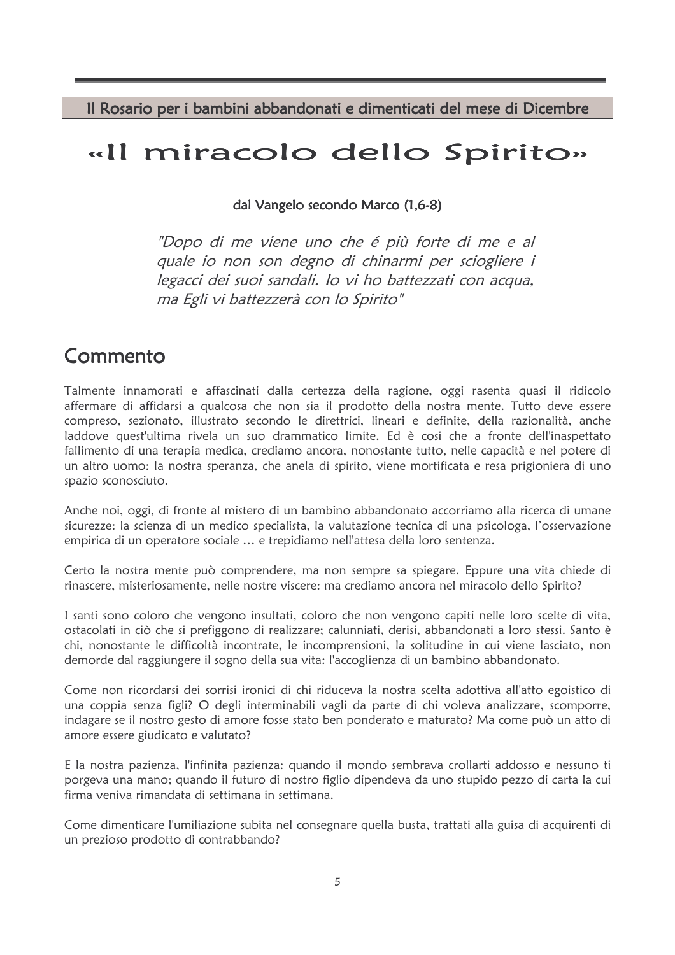Il Rosario per i bambini abbandonati e dimenticati del mese di Dicembre

## «Il miracolo dello Spirito»

dal Vangelo secondo Marco (1,6-8)

"Dopo di me viene uno che é più forte di me e al quale io non son degno di chinarmi per sciogliere i legacci dei suoi sandali. Io vi ho battezzati con acqua, ma Egli vi battezzerà con lo Spirito"

## Commento

Talmente innamorati e affascinati dalla certezza della ragione, oggi rasenta quasi il ridicolo affermare di affidarsi a qualcosa che non sia il prodotto della nostra mente. Tutto deve essere compreso, sezionato, illustrato secondo le direttrici, lineari e definite, della razionalità, anche laddove quest'ultima rivela un suo drammatico limite. Ed è cosi che a fronte dell'inaspettato fallimento di una terapia medica, crediamo ancora, nonostante tutto, nelle capacità e nel potere di un altro uomo: la nostra speranza, che anela di spirito, viene mortificata e resa prigioniera di uno spazio sconosciuto.

Anche noi, oggi, di fronte al mistero di un bambino abbandonato accorriamo alla ricerca di umane sicurezze: la scienza di un medico specialista, la valutazione tecnica di una psicologa, l'osservazione empirica di un operatore sociale ... e trepidiamo nell'attesa della loro sentenza.

Certo la nostra mente può comprendere, ma non sempre sa spiegare. Eppure una vita chiede di rinascere, misteriosamente, nelle nostre viscere: ma crediamo ancora nel miracolo dello Spirito?

I santi sono coloro che vengono insultati, coloro che non vengono capiti nelle loro scelte di vita, ostacolati in ciò che si prefiggono di realizzare; calunniati, derisi, abbandonati a loro stessi. Santo è chi, nonostante le difficoltà incontrate, le incomprensioni, la solitudine in cui viene lasciato, non demorde dal raggiungere il sogno della sua vita: l'accoglienza di un bambino abbandonato.

Come non ricordarsi dei sorrisi ironici di chi riduceva la nostra scelta adottiva all'atto egoistico di una coppia senza figli? O degli interminabili vagli da parte di chi voleva analizzare, scomporre, indagare se il nostro gesto di amore fosse stato ben ponderato e maturato? Ma come può un atto di amore essere giudicato e valutato?

E la nostra pazienza, l'infinita pazienza: quando il mondo sembrava crollarti addosso e nessuno ti porgeva una mano; quando il futuro di nostro figlio dipendeva da uno stupido pezzo di carta la cui firma veniva rimandata di settimana in settimana.

Come dimenticare l'umiliazione subita nel consegnare quella busta, trattati alla guisa di acquirenti di un prezioso prodotto di contrabbando?